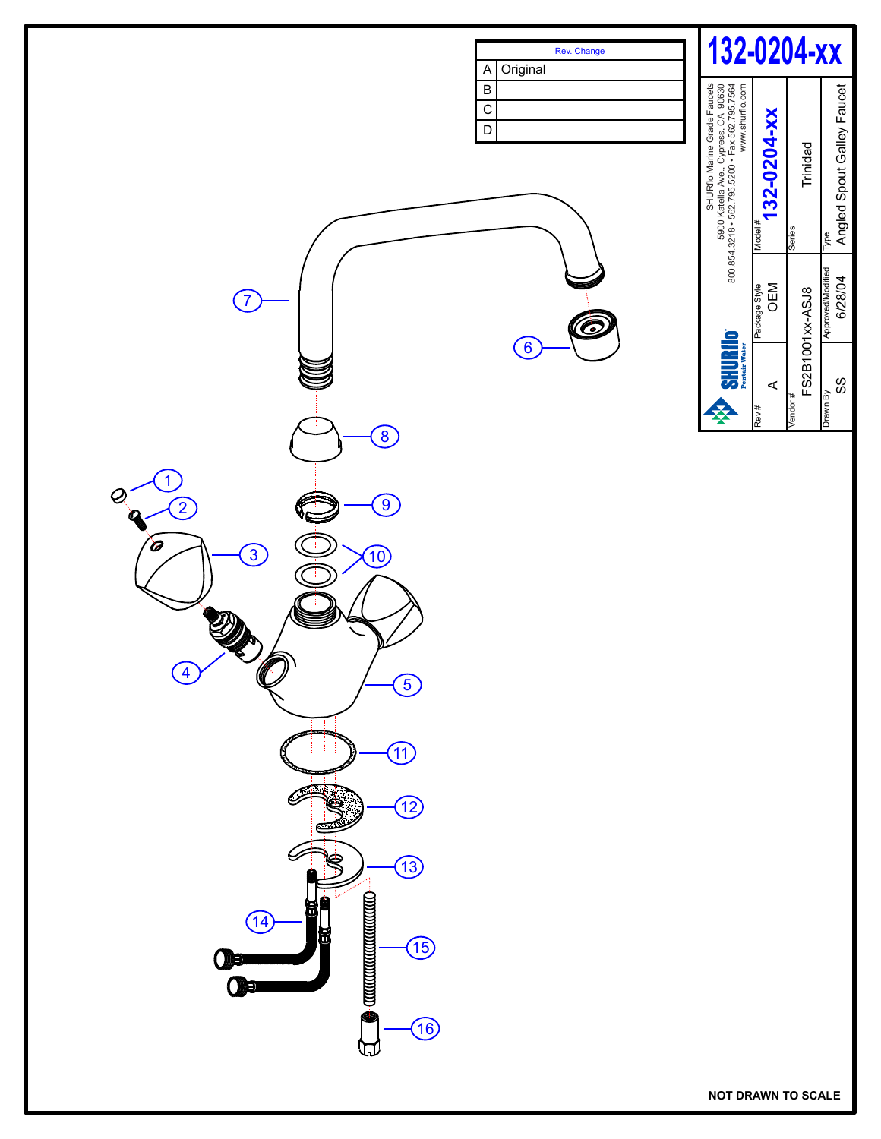